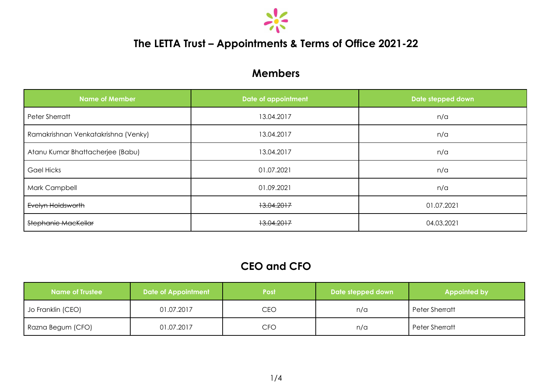

## **The LETTA Trust – Appointments & Terms of Office 2021-22**

## **Members**

| <b>Name of Member</b>               | Date of appointment | Date stepped down |  |
|-------------------------------------|---------------------|-------------------|--|
| Peter Sherratt                      | 13.04.2017          | n/a               |  |
| Ramakrishnan Venkatakrishna (Venky) | 13.04.2017          | n/a               |  |
| Atanu Kumar Bhattacherjee (Babu)    | 13.04.2017          | n/a               |  |
| <b>Gael Hicks</b>                   | 01.07.2021          | n/a               |  |
| Mark Campbell                       | 01.09.2021          | n/a               |  |
| Evelyn Holdsworth                   | 13.04.2017          | 01.07.2021        |  |
| Stephanie MacKellar                 | 13.04.2017          | 04.03.2021        |  |

## **CEO and CFO**

| <b>Name of Trustee</b> | <b>Date of Appointment</b> | <b>Post</b> | Date stepped down | Appointed by          |  |
|------------------------|----------------------------|-------------|-------------------|-----------------------|--|
| Jo Franklin (CEO)      | 01.07.2017                 | CEO         | n/a               | <b>Peter Sherratt</b> |  |
| Razna Begum (CFO)      | 01.07.2017                 | CFO         | n/a               | <b>Peter Sherratt</b> |  |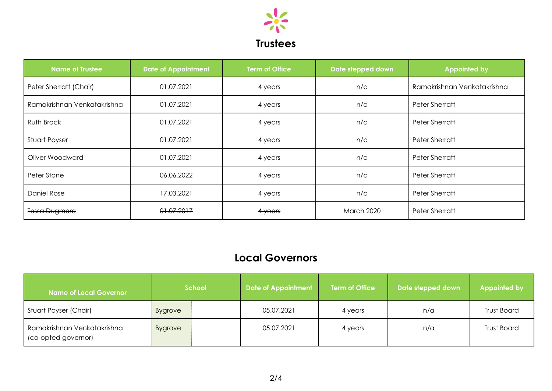

| <b>Name of Trustee</b>      | Date of Appointment | <b>Term of Office</b> | Date stepped down | <b>Appointed by</b>         |
|-----------------------------|---------------------|-----------------------|-------------------|-----------------------------|
| Peter Sherratt (Chair)      | 01.07.2021          | 4 years               | n/a               | Ramakrishnan Venkatakrishna |
| Ramakrishnan Venkatakrishna | 01.07.2021          | 4 years               | n/a               | <b>Peter Sherratt</b>       |
| Ruth Brock                  | 01.07.2021          | 4 years               | n/a               | <b>Peter Sherratt</b>       |
| Stuart Poyser               | 01.07.2021          | 4 years               | n/a               | Peter Sherratt              |
| Oliver Woodward             | 01.07.2021          | 4 years               | n/a               | <b>Peter Sherratt</b>       |
| Peter Stone                 | 06.06.2022          | 4 years               | n/a               | <b>Peter Sherratt</b>       |
| Daniel Rose                 | 17.03.2021          | 4 years               | n/a               | <b>Peter Sherratt</b>       |
| <b>Tessa Dugmore</b>        | 01.07.2017          | 4 years               | <b>March 2020</b> | Peter Sherratt              |

## **Local Governors**

| Name of Local Governor <sup>1</sup>                | <b>School</b>  |  | <b>Date of Appointment</b> | <b>Term of Office</b> | Date stepped down | <b>Appointed by</b> |
|----------------------------------------------------|----------------|--|----------------------------|-----------------------|-------------------|---------------------|
| Stuart Poyser (Chair)                              | <b>Bygrove</b> |  | 05.07.2021                 | 4 years               | n/a               | <b>Trust Board</b>  |
| Ramakrishnan Venkatakrishna<br>(co-opted governor) | <b>Bygrove</b> |  | 05.07.2021                 | 4 years               | n/a               | <b>Trust Board</b>  |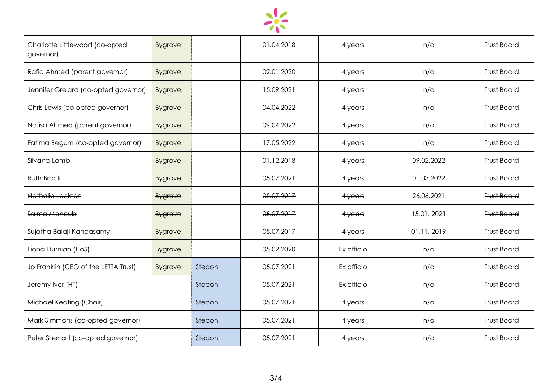

| Charlotte Littlewood (co-opted<br>governor) | <b>Bygrove</b> |        | 01.04.2018 | 4 years    | n/a        | <b>Trust Board</b> |
|---------------------------------------------|----------------|--------|------------|------------|------------|--------------------|
| Rafia Ahmed (parent governor)               | <b>Bygrove</b> |        | 02.01.2020 | 4 years    | n/a        | <b>Trust Board</b> |
| Jennifer Grelard (co-opted governor)        | <b>Bygrove</b> |        | 15.09.2021 | 4 years    | n/a        | <b>Trust Board</b> |
| Chris Lewis (co-opted governor)             | <b>Bygrove</b> |        | 04.04.2022 | 4 years    | n/a        | <b>Trust Board</b> |
| Nafisa Ahmed (parent governor)              | <b>Bygrove</b> |        | 09.04.2022 | 4 years    | n/a        | <b>Trust Board</b> |
| Fatima Begum (co-opted governor)            | <b>Bygrove</b> |        | 17.05.2022 | 4 years    | n/a        | <b>Trust Board</b> |
| <del>Silvana Lamb</del>                     | <b>Bygrove</b> |        | 01.12.2018 | 4 years    | 09.02.2022 | <b>Trust Board</b> |
| Ruth Brock                                  | <b>Bygrove</b> |        | 05.07.2021 | 4 years    | 01.03.2022 | <b>Trust Board</b> |
| Nathalie Lockton                            | <b>Bygrove</b> |        | 05.07.2017 | $4$ years  | 26.06.2021 | <b>Trust Board</b> |
| Salma Mahbub                                | <b>Bygrove</b> |        | 05.07.2017 | $4$ years  | 15.01.2021 | <b>Trust Board</b> |
| Sujatha Balaji-Kandasamy                    | <b>Bygrove</b> |        | 05.07.2017 | $4$ years  | 01.11.2019 | <b>Trust Board</b> |
| Fiona Durnian (HoS)                         | <b>Bygrove</b> |        | 05.02.2020 | Ex officio | n/a        | <b>Trust Board</b> |
| Jo Franklin (CEO of the LETTA Trust)        | <b>Bygrove</b> | Stebon | 05.07.2021 | Ex officio | n/a        | <b>Trust Board</b> |
| Jeremy Iver (HT)                            |                | Stebon | 05.07.2021 | Ex officio | n/a        | <b>Trust Board</b> |
| Michael Keating (Chair)                     |                | Stebon | 05.07.2021 | 4 years    | n/a        | <b>Trust Board</b> |
| Mark Simmons (co-opted governor)            |                | Stebon | 05.07.2021 | 4 years    | n/a        | <b>Trust Board</b> |
| Peter Sherratt (co-opted governor)          |                | Stebon | 05.07.2021 | 4 years    | n/a        | <b>Trust Board</b> |